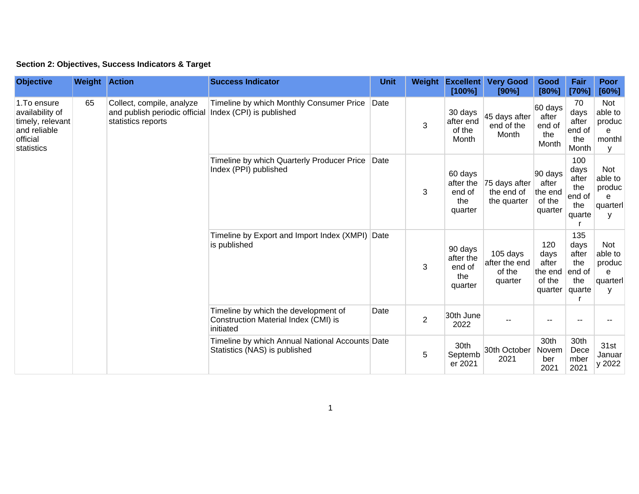## **Section 2: Objectives, Success Indicators & Target**

| <b>Objective</b>                                                                              | <b>Weight Action</b> |                                                                                  | <b>Success Indicator</b>                                                                  | <b>Unit</b> | Weight         | <b>Excellent</b><br>[100%]                       | <b>Very Good</b><br>[90%]                      | Good<br>[80%]                                        | Fair<br>[70%]                                          | <b>Poor</b><br>[60%]                                  |
|-----------------------------------------------------------------------------------------------|----------------------|----------------------------------------------------------------------------------|-------------------------------------------------------------------------------------------|-------------|----------------|--------------------------------------------------|------------------------------------------------|------------------------------------------------------|--------------------------------------------------------|-------------------------------------------------------|
| 1. To ensure<br>availability of<br>timely, relevant<br>and reliable<br>official<br>statistics | 65                   | Collect, compile, analyze<br>and publish periodic official<br>statistics reports | Timeline by which Monthly Consumer Price<br>Index (CPI) is published                      | Date        | 3              | 30 days<br>after end<br>of the<br>Month          | 45 days after<br>end of the<br>Month           | 60 days<br>after<br>end of<br>the<br>Month           | 70<br>days<br>after<br>end of<br>the<br>Month          | <b>Not</b><br>able to<br>produc<br>e<br>monthl<br>У   |
|                                                                                               |                      |                                                                                  | Timeline by which Quarterly Producer Price<br>Index (PPI) published                       | Date        | 3              | 60 days<br>after the<br>end of<br>the<br>quarter | 75 days after<br>the end of<br>the quarter     | 90 days<br>after<br>the end<br>of the<br>quarter     | 100<br>days<br>after<br>the<br>end of<br>the<br>quarte | <b>Not</b><br>able to<br>produc<br>e<br>quarterl<br>y |
|                                                                                               |                      |                                                                                  | Timeline by Export and Import Index (XMPI)<br>is published                                | Date        | 3              | 90 days<br>after the<br>end of<br>the<br>quarter | 105 days<br>after the end<br>of the<br>quarter | 120<br>days<br>after<br>the end<br>of the<br>quarter | 135<br>days<br>after<br>the<br>end of<br>the<br>quarte | <b>Not</b><br>able to<br>produc<br>e<br>quarterl<br>y |
|                                                                                               |                      |                                                                                  | Timeline by which the development of<br>Construction Material Index (CMI) is<br>initiated | Date        | $\overline{2}$ | 30th June<br>2022                                |                                                |                                                      |                                                        |                                                       |
|                                                                                               |                      |                                                                                  | Timeline by which Annual National Accounts Date<br>Statistics (NAS) is published          |             | 5              | 30th<br>Septemb<br>er 2021                       | 30th October<br>2021                           | 30th<br>Novem<br>ber<br>2021                         | 30th<br>Dece<br>mber<br>2021                           | 31st<br>Januar<br>y 2022                              |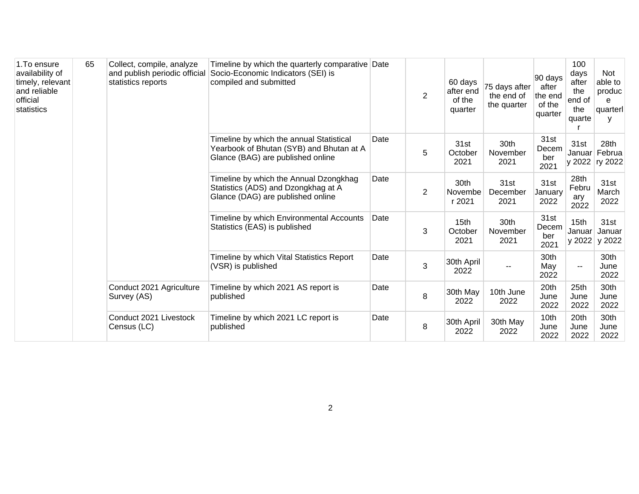| 1. To ensure<br>availability of<br>timely, relevant<br>and reliable<br>official<br>statistics | 65 | Collect, compile, analyze<br>and publish periodic official<br>statistics reports | Timeline by which the quarterly comparative Date<br>Socio-Economic Indicators (SEI) is<br>compiled and submitted          |      | $\overline{2}$ | 60 days<br>after end<br>of the<br>quarter | 75 days after<br>the end of<br>the quarter | 90 days<br>after<br>the end<br>of the<br>quarter | 100<br>days<br>after<br>the<br>end of<br>the<br>quarte | Not<br>able to<br>produc<br>e<br>quarterl<br>V |
|-----------------------------------------------------------------------------------------------|----|----------------------------------------------------------------------------------|---------------------------------------------------------------------------------------------------------------------------|------|----------------|-------------------------------------------|--------------------------------------------|--------------------------------------------------|--------------------------------------------------------|------------------------------------------------|
|                                                                                               |    |                                                                                  | Timeline by which the annual Statistical<br>Yearbook of Bhutan (SYB) and Bhutan at A<br>Glance (BAG) are published online | Date | 5              | 31st<br>October<br>2021                   | 30th<br>November<br>2021                   | 31st<br>Decem<br>ber<br>2021                     | 31st                                                   | 28th<br>Januar Februa<br>y 2022 ry 2022        |
|                                                                                               |    |                                                                                  | Timeline by which the Annual Dzongkhag<br>Statistics (ADS) and Dzongkhag at A<br>Glance (DAG) are published online        | Date | $\overline{2}$ | 30th<br>Novembe<br>r 2021                 | 31st<br>December<br>2021                   | 31st<br>January<br>2022                          | 28th<br>Febru<br>ary<br>2022                           | 31st<br>March<br>2022                          |
|                                                                                               |    |                                                                                  | Timeline by which Environmental Accounts<br>Statistics (EAS) is published                                                 | Date | 3              | 15 <sub>th</sub><br>October<br>2021       | 30th<br>November<br>2021                   | 31st<br>Decem<br>ber<br>2021                     | 15 <sub>th</sub><br>Januar<br>y 2022                   | 31st<br>Januar<br>y 2022                       |
|                                                                                               |    |                                                                                  | Timeline by which Vital Statistics Report<br>(VSR) is published                                                           | Date | 3              | 30th April<br>2022                        |                                            | 30th<br>May<br>2022                              | --                                                     | 30th<br>June<br>2022                           |
|                                                                                               |    | Conduct 2021 Agriculture<br>Survey (AS)                                          | Timeline by which 2021 AS report is<br>published                                                                          | Date | 8              | 30th May<br>2022                          | 10th June<br>2022                          | 20th<br>June<br>2022                             | 25th<br>June<br>2022                                   | 30th<br>June<br>2022                           |
|                                                                                               |    | Conduct 2021 Livestock<br>Census (LC)                                            | Timeline by which 2021 LC report is<br>published                                                                          | Date | 8              | 30th April<br>2022                        | 30th May<br>2022                           | 10th<br>June<br>2022                             | 20th<br>June<br>2022                                   | 30th<br>June<br>2022                           |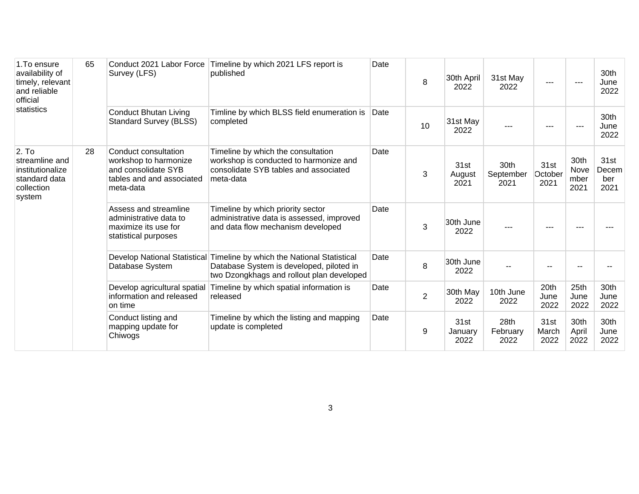| 1. To ensure<br>availability of<br>timely, relevant<br>and reliable<br>official<br>statistics | 65 | Survey (LFS)                                                                                                   | Conduct 2021 Labor Force Timeline by which 2021 LFS report is<br>published                                                                                       | Date | 8              | 30th April<br>2022      | 31st May<br>2022          | $- - -$                 |                              | 30th<br>June<br>2022         |
|-----------------------------------------------------------------------------------------------|----|----------------------------------------------------------------------------------------------------------------|------------------------------------------------------------------------------------------------------------------------------------------------------------------|------|----------------|-------------------------|---------------------------|-------------------------|------------------------------|------------------------------|
|                                                                                               |    | <b>Conduct Bhutan Living</b><br><b>Standard Survey (BLSS)</b>                                                  | Timline by which BLSS field enumeration is<br>completed                                                                                                          | Date | 10             | 31st May<br>2022        |                           | $---$                   |                              | 30th<br>June<br>2022         |
| 2. To<br>streamline and<br>institutionalize<br>standard data<br>collection<br>system          | 28 | Conduct consultation<br>workshop to harmonize<br>and consolidate SYB<br>tables and and associated<br>meta-data | Timeline by which the consultation<br>workshop is conducted to harmonize and<br>consolidate SYB tables and associated<br>meta-data                               | Date | 3              | 31st<br>August<br>2021  | 30th<br>September<br>2021 | 31st<br>October<br>2021 | 30th<br>Nove<br>mber<br>2021 | 31st<br>Decem<br>ber<br>2021 |
|                                                                                               |    | Assess and streamline<br>administrative data to<br>maximize its use for<br>statistical purposes                | Timeline by which priority sector<br>administrative data is assessed, improved<br>and data flow mechanism developed                                              | Date | 3              | 30th June<br>2022       |                           | $---$                   |                              |                              |
|                                                                                               |    | Database System                                                                                                | Develop National Statistical Timeline by which the National Statistical<br>Database System is developed, piloted in<br>two Dzongkhags and rollout plan developed | Date | 8              | 30th June<br>2022       |                           |                         |                              |                              |
|                                                                                               |    | Develop agricultural spatial<br>information and released<br>on time                                            | Timeline by which spatial information is<br>released                                                                                                             | Date | $\overline{2}$ | 30th May<br>2022        | 10th June<br>2022         | 20th<br>June<br>2022    | 25th<br>June<br>2022         | 30th<br>June<br>2022         |
|                                                                                               |    | Conduct listing and<br>mapping update for<br>Chiwogs                                                           | Timeline by which the listing and mapping<br>update is completed                                                                                                 | Date | 9              | 31st<br>January<br>2022 | 28th<br>February<br>2022  | 31st<br>March<br>2022   | 30th<br>April<br>2022        | 30th<br>June<br>2022         |